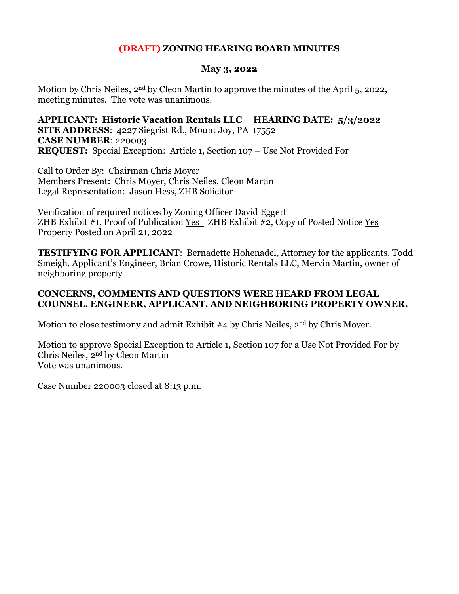## **(DRAFT) ZONING HEARING BOARD MINUTES**

## **May 3, 2022**

Motion by Chris Neiles, 2nd by Cleon Martin to approve the minutes of the April 5, 2022, meeting minutes. The vote was unanimous.

**APPLICANT: Historic Vacation Rentals LLC HEARING DATE: 5/3/2022 SITE ADDRESS**: 4227 Siegrist Rd., Mount Joy, PA 17552 **CASE NUMBER**: 220003 **REQUEST:** Special Exception: Article 1, Section 107 – Use Not Provided For

Call to Order By: Chairman Chris Moyer Members Present: Chris Moyer, Chris Neiles, Cleon Martin Legal Representation: Jason Hess, ZHB Solicitor

Verification of required notices by Zoning Officer David Eggert ZHB Exhibit #1, Proof of Publication Yes ZHB Exhibit #2, Copy of Posted Notice Yes Property Posted on April 21, 2022

**TESTIFYING FOR APPLICANT**: Bernadette Hohenadel, Attorney for the applicants, Todd Smeigh, Applicant's Engineer, Brian Crowe, Historic Rentals LLC, Mervin Martin, owner of neighboring property

## **CONCERNS, COMMENTS AND QUESTIONS WERE HEARD FROM LEGAL COUNSEL, ENGINEER, APPLICANT, AND NEIGHBORING PROPERTY OWNER.**

Motion to close testimony and admit Exhibit #4 by Chris Neiles, 2nd by Chris Moyer.

Motion to approve Special Exception to Article 1, Section 107 for a Use Not Provided For by Chris Neiles, 2nd by Cleon Martin Vote was unanimous.

Case Number 220003 closed at 8:13 p.m.